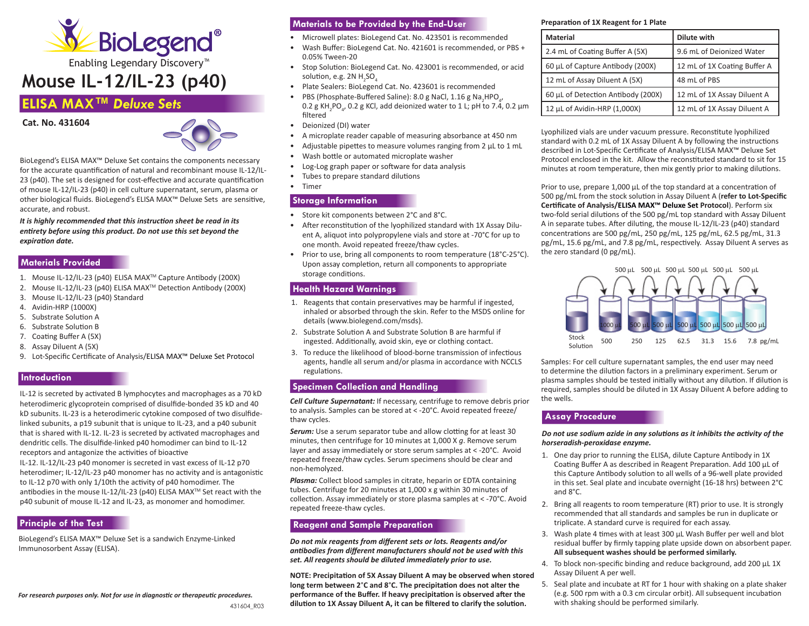

# **Mouse IL-12/IL-23 (p40)**

## **ELISA MAX™** *Deluxe Sets*





BioLegend's ELISA MAX™ Deluxe Set contains the components necessary for the accurate quantification of natural and recombinant mouse IL-12/IL-23 (p40). The set is designed for cost-effective and accurate quantification of mouse IL-12/IL-23 (p40) in cell culture supernatant, serum, plasma or other biological fluids. BioLegend's ELISA MAX™ Deluxe Sets are sensitive, accurate, and robust.

*It is highly recommended that this instruction sheet be read in its entirety before using this product. Do not use this set beyond the expiration date.*

## **Materials Provided**

- 1. Mouse IL-12/IL-23 (p40) ELISA MAXTM Capture Antibody (200X)
- 2. Mouse IL-12/IL-23 (p40) ELISA MAXTM Detection Antibody (200X)
- 3. Mouse IL-12/IL-23 (p40) Standard
- 4. Avidin-HRP (1000X)
- 5. Substrate Solution A
- 6. Substrate Solution B
- 7. Coating Buffer A (5X)
- 8. Assay Diluent A (5X)
- 9. Lot-Specific Certificate of Analysis/ELISA MAX™ Deluxe Set Protocol

#### **Introduction**

IL-12 is secreted by activated B lymphocytes and macrophages as a 70 kD heterodimeric glycoprotein comprised of disulfide-bonded 35 kD and 40 kD subunits. IL-23 is a heterodimeric cytokine composed of two disulfidelinked subunits, a p19 subunit that is unique to IL-23, and a p40 subunit that is shared with IL-12. IL-23 is secreted by activated macrophages and dendritic cells. The disulfide-linked p40 homodimer can bind to IL-12 receptors and antagonize the activities of bioactive

IL-12. IL-12/IL-23 p40 monomer is secreted in vast excess of IL-12 p70 heterodimer; IL-12/IL-23 p40 monomer has no activity and is antagonistic to IL-12 p70 with only 1/10th the activity of p40 homodimer. The antibodies in the mouse IL-12/IL-23 (p40) ELISA MAXTM Set react with the p40 subunit of mouse IL-12 and IL-23, as monomer and homodimer.

## **Principle of the Test**

BioLegend's ELISA MAX™ Deluxe Set is a sandwich Enzyme-Linked Immunosorbent Assay (ELISA).

## **Materials to be Provided by the End-User**

- Microwell plates: BioLegend Cat. No. 423501 is recommended
- Wash Buffer: BioLegend Cat. No. 421601 is recommended, or PBS + 0.05% Tween-20
- Stop Solution: BioLegend Cat. No. 423001 is recommended, or acid solution, e.g. 2N  $H_2$ SO $_4$
- Plate Sealers: BioLegend Cat. No. 423601 is recommended
- PBS (Phosphate-Buffered Saline): 8.0 g NaCl, 1.16 g Na<sub>2</sub>HPO<sub>4</sub>,  $0.2$  g KH<sub>2</sub>PO<sub>4</sub>, 0.2 g KCl, add deionized water to 1 L; pH to 7.4, 0.2 μm filtered
- Deionized (DI) water
- A microplate reader capable of measuring absorbance at 450 nm
- Adjustable pipettes to measure volumes ranging from 2 μL to 1 mL
- Wash bottle or automated microplate washer
- Log-Log graph paper or software for data analysis
- Tubes to prepare standard dilutions
- Timer

#### **Storage Information**

- Store kit components between 2°C and 8°C.
- After reconstitution of the lyophilized standard with 1X Assay Diluent A, aliquot into polypropylene vials and store at -70°C for up to one month. Avoid repeated freeze/thaw cycles.
- Prior to use, bring all components to room temperature (18°C-25°C). Upon assay completion, return all components to appropriate storage conditions.

## **Health Hazard Warnings**

- 1. Reagents that contain preservatives may be harmful if ingested, inhaled or absorbed through the skin. Refer to the MSDS online for details (www.biolegend.com/msds).
- 2. Substrate Solution A and Substrate Solution B are harmful if ingested. Additionally, avoid skin, eye or clothing contact.
- 3. To reduce the likelihood of blood-borne transmission of infectious agents, handle all serum and/or plasma in accordance with NCCLS regulations.

## **Specimen Collection and Handling**

*Cell Culture Supernatant:* If necessary, centrifuge to remove debris prior to analysis. Samples can be stored at < -20°C. Avoid repeated freeze/ thaw cycles.

**Serum:** Use a serum separator tube and allow clotting for at least 30 minutes, then centrifuge for 10 minutes at 1,000 X *g*. Remove serum layer and assay immediately or store serum samples at < -20°C. Avoid repeated freeze/thaw cycles. Serum specimens should be clear and non-hemolyzed.

*Plasma:* Collect blood samples in citrate, heparin or EDTA containing tubes. Centrifuge for 20 minutes at 1,000 x g within 30 minutes of collection. Assay immediately or store plasma samples at < -70°C. Avoid repeated freeze-thaw cycles.

## **Reagent and Sample Preparation**

*Do not mix reagents from different sets or lots. Reagents and/or antibodies from different manufacturers should not be used with this set. All reagents should be diluted immediately prior to use.*

**NOTE: Precipitation of 5X Assay Diluent A may be observed when stored long term between 2**°**C and 8**°**C. The precipitation does not alter the performance of the Buffer. If heavy precipitation is observed after the dilution to 1X Assay Diluent A, it can be filtered to clarify the solution.**

#### **Preparation of 1X Reagent for 1 Plate**

| <b>Material</b>                    | Dilute with                  |
|------------------------------------|------------------------------|
| 2.4 mL of Coating Buffer A (5X)    | 9.6 mL of Deionized Water    |
| 60 µL of Capture Antibody (200X)   | 12 mL of 1X Coating Buffer A |
| 12 mL of Assay Diluent A (5X)      | 48 mL of PBS                 |
| 60 µL of Detection Antibody (200X) | 12 mL of 1X Assay Diluent A  |
| 12 µL of Avidin-HRP (1,000X)       | 12 mL of 1X Assay Diluent A  |

Lyophilized vials are under vacuum pressure. Reconstitute lyophilized standard with 0.2 mL of 1X Assay Diluent A by following the instructions described in Lot-Specific Certificate of Analysis/ELISA MAX™ Deluxe Set Protocol enclosed in the kit. Allow the reconstituted standard to sit for 15 minutes at room temperature, then mix gently prior to making dilutions.

Prior to use, prepare 1,000 μL of the top standard at a concentration of 500 pg/mL from the stock solution in Assay Diluent A (**refer to Lot-Specific Certificate of Analysis/ELISA MAX™ Deluxe Set Protocol**). Perform six two-fold serial dilutions of the 500 pg/mL top standard with Assay Diluent A in separate tubes. After diluting, the mouse IL-12/IL-23 (p40) standard concentrations are 500 pg/mL, 250 pg/mL, 125 pg/mL, 62.5 pg/mL, 31.3 pg/mL, 15.6 pg/mL, and 7.8 pg/mL, respectively. Assay Diluent A serves as the zero standard (0 pg/mL).



Samples: For cell culture supernatant samples, the end user may need to determine the dilution factors in a preliminary experiment. Serum or plasma samples should be tested initially without any dilution. If dilution is required, samples should be diluted in 1X Assay Diluent A before adding to the wells.

#### **Assay Procedure**

*Do not use sodium azide in any solutions as it inhibits the activity of the horseradish-peroxidase enzyme.* 

- 1. One day prior to running the ELISA, dilute Capture Antibody in 1X Coating Buffer A as described in Reagent Preparation. Add 100 μL of this Capture Antibody solution to all wells of a 96-well plate provided in this set. Seal plate and incubate overnight (16-18 hrs) between 2°C and 8°C.
- 2. Bring all reagents to room temperature (RT) prior to use. It is strongly recommended that all standards and samples be run in duplicate or triplicate. A standard curve is required for each assay.
- 3. Wash plate 4 times with at least 300 μL Wash Buffer per well and blot residual buffer by firmly tapping plate upside down on absorbent paper. **All subsequent washes should be performed similarly.**
- 4. To block non-specific binding and reduce background, add 200 μL 1X Assay Diluent A per well.
- 5. Seal plate and incubate at RT for 1 hour with shaking on a plate shaker (e.g. 500 rpm with a 0.3 cm circular orbit). All subsequent incubation with shaking should be performed similarly.